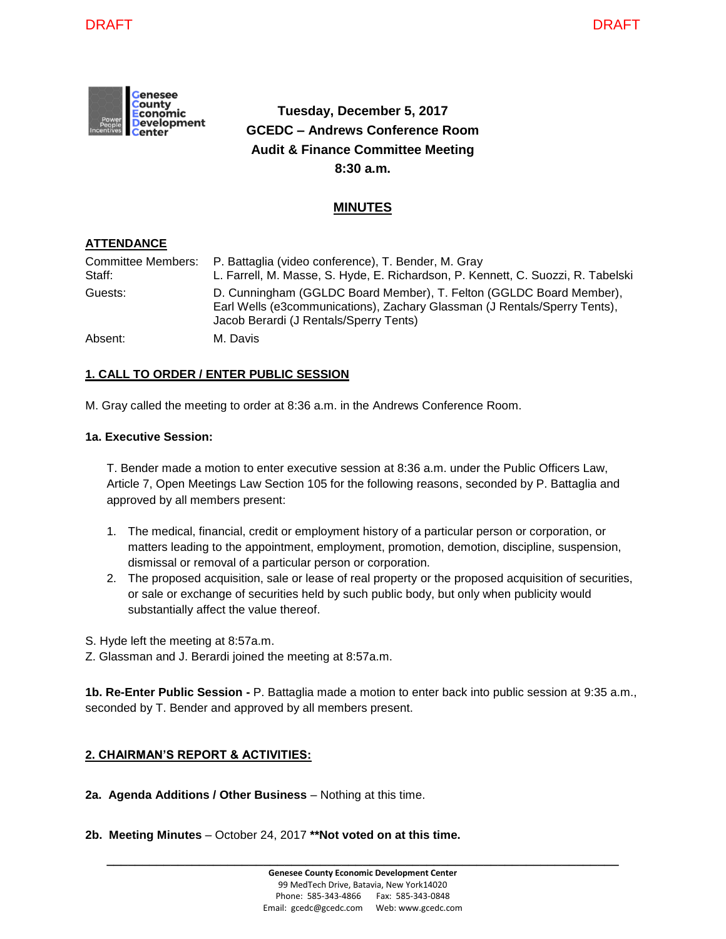

# **Tuesday, December 5, 2017 GCEDC – Andrews Conference Room Audit & Finance Committee Meeting 8:30 a.m.**

# **MINUTES**

# **ATTENDANCE**

| Staff:  | Committee Members:  P. Battaglia (video conference), T. Bender, M. Gray<br>L. Farrell, M. Masse, S. Hyde, E. Richardson, P. Kennett, C. Suozzi, R. Tabelski                                |
|---------|--------------------------------------------------------------------------------------------------------------------------------------------------------------------------------------------|
| Guests: | D. Cunningham (GGLDC Board Member), T. Felton (GGLDC Board Member),<br>Earl Wells (e3communications), Zachary Glassman (J Rentals/Sperry Tents),<br>Jacob Berardi (J Rentals/Sperry Tents) |
| Absent: | M. Davis                                                                                                                                                                                   |

# **1. CALL TO ORDER / ENTER PUBLIC SESSION**

M. Gray called the meeting to order at 8:36 a.m. in the Andrews Conference Room.

# **1a. Executive Session:**

T. Bender made a motion to enter executive session at 8:36 a.m. under the Public Officers Law, Article 7, Open Meetings Law Section 105 for the following reasons, seconded by P. Battaglia and approved by all members present:

- 1. The medical, financial, credit or employment history of a particular person or corporation, or matters leading to the appointment, employment, promotion, demotion, discipline, suspension, dismissal or removal of a particular person or corporation.
- 2. The proposed acquisition, sale or lease of real property or the proposed acquisition of securities, or sale or exchange of securities held by such public body, but only when publicity would substantially affect the value thereof.
- S. Hyde left the meeting at 8:57a.m.
- Z. Glassman and J. Berardi joined the meeting at 8:57a.m.

**1b. Re-Enter Public Session -** P. Battaglia made a motion to enter back into public session at 9:35 a.m., seconded by T. Bender and approved by all members present.

# **2. CHAIRMAN'S REPORT & ACTIVITIES:**

- **2a. Agenda Additions / Other Business** Nothing at this time.
- **2b. Meeting Minutes**  October 24, 2017 **\*\*Not voted on at this time.**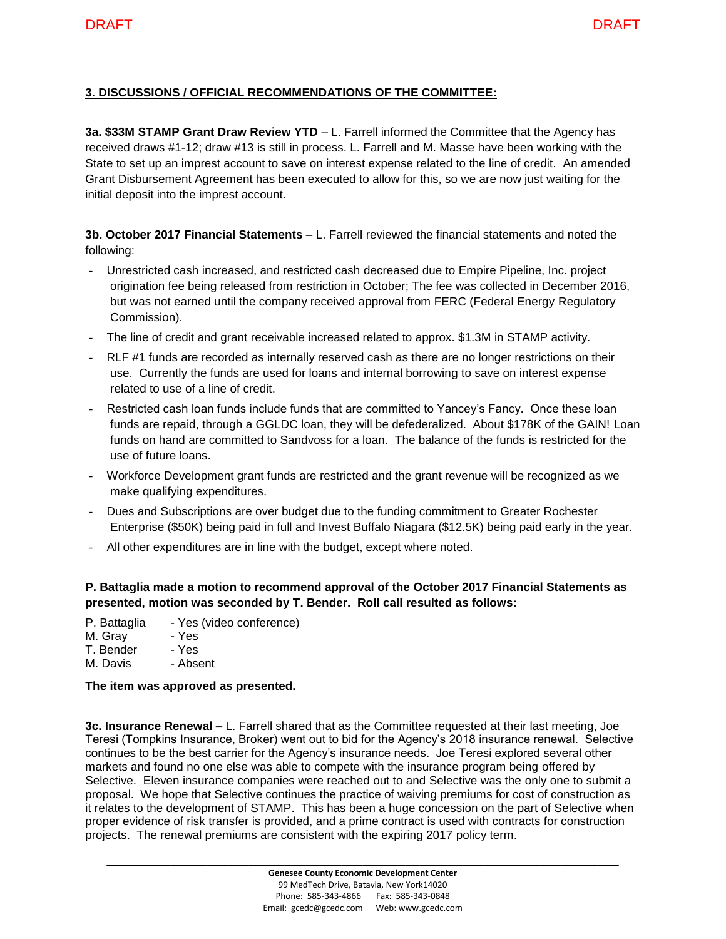# **3. DISCUSSIONS / OFFICIAL RECOMMENDATIONS OF THE COMMITTEE:**

**3a. \$33M STAMP Grant Draw Review YTD** – L. Farrell informed the Committee that the Agency has received draws #1-12; draw #13 is still in process. L. Farrell and M. Masse have been working with the State to set up an imprest account to save on interest expense related to the line of credit. An amended Grant Disbursement Agreement has been executed to allow for this, so we are now just waiting for the initial deposit into the imprest account.

**3b. October 2017 Financial Statements** – L. Farrell reviewed the financial statements and noted the following:

- Unrestricted cash increased, and restricted cash decreased due to Empire Pipeline, Inc. project origination fee being released from restriction in October; The fee was collected in December 2016, but was not earned until the company received approval from FERC (Federal Energy Regulatory Commission).
- The line of credit and grant receivable increased related to approx. \$1.3M in STAMP activity.
- RLF #1 funds are recorded as internally reserved cash as there are no longer restrictions on their use. Currently the funds are used for loans and internal borrowing to save on interest expense related to use of a line of credit.
- Restricted cash loan funds include funds that are committed to Yancey's Fancy. Once these loan funds are repaid, through a GGLDC loan, they will be defederalized. About \$178K of the GAIN! Loan funds on hand are committed to Sandvoss for a loan. The balance of the funds is restricted for the use of future loans.
- Workforce Development grant funds are restricted and the grant revenue will be recognized as we make qualifying expenditures.
- Dues and Subscriptions are over budget due to the funding commitment to Greater Rochester Enterprise (\$50K) being paid in full and Invest Buffalo Niagara (\$12.5K) being paid early in the year.
- All other expenditures are in line with the budget, except where noted.

# **P. Battaglia made a motion to recommend approval of the October 2017 Financial Statements as presented, motion was seconded by T. Bender. Roll call resulted as follows:**

- P. Battaglia Yes (video conference)
- M. Grav Yes
- T. Bender Yes
- M. Davis Absent

#### **The item was approved as presented.**

**3c. Insurance Renewal –** L. Farrell shared that as the Committee requested at their last meeting, Joe Teresi (Tompkins Insurance, Broker) went out to bid for the Agency's 2018 insurance renewal. Selective continues to be the best carrier for the Agency's insurance needs. Joe Teresi explored several other markets and found no one else was able to compete with the insurance program being offered by Selective. Eleven insurance companies were reached out to and Selective was the only one to submit a proposal. We hope that Selective continues the practice of waiving premiums for cost of construction as it relates to the development of STAMP. This has been a huge concession on the part of Selective when proper evidence of risk transfer is provided, and a prime contract is used with contracts for construction projects. The renewal premiums are consistent with the expiring 2017 policy term.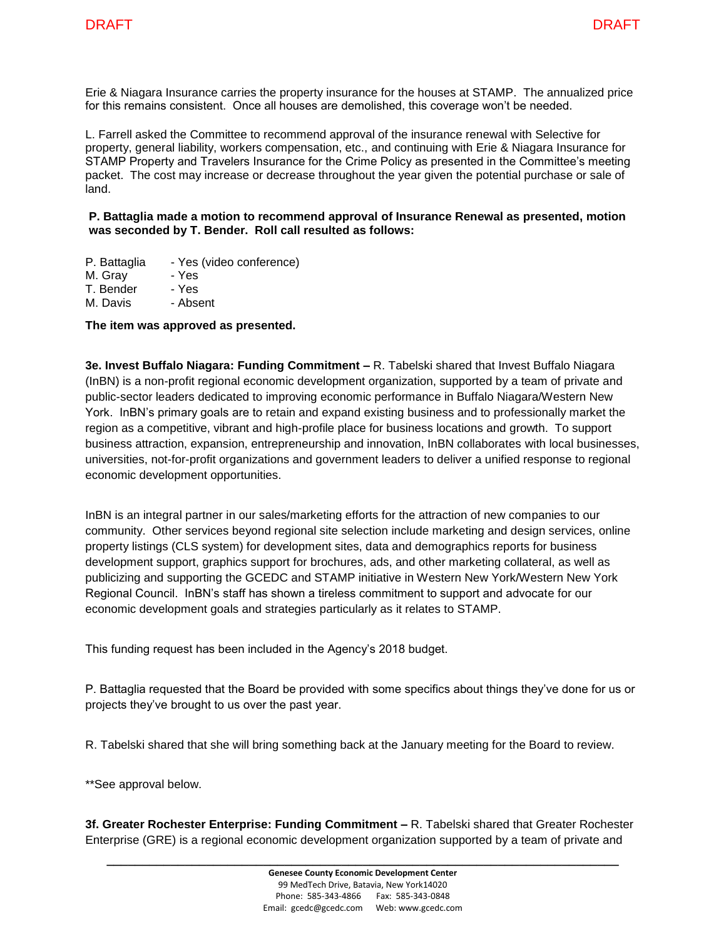Erie & Niagara Insurance carries the property insurance for the houses at STAMP. The annualized price for this remains consistent. Once all houses are demolished, this coverage won't be needed.

L. Farrell asked the Committee to recommend approval of the insurance renewal with Selective for property, general liability, workers compensation, etc., and continuing with Erie & Niagara Insurance for STAMP Property and Travelers Insurance for the Crime Policy as presented in the Committee's meeting packet. The cost may increase or decrease throughout the year given the potential purchase or sale of land.

**P. Battaglia made a motion to recommend approval of Insurance Renewal as presented, motion was seconded by T. Bender. Roll call resulted as follows:**

P. Battaglia - Yes (video conference)

M. Gray - Yes

T. Bender - Yes

M. Davis - Absent

# **The item was approved as presented.**

**3e. Invest Buffalo Niagara: Funding Commitment –** R. Tabelski shared that Invest Buffalo Niagara (InBN) is a non-profit regional economic development organization, supported by a team of private and public-sector leaders dedicated to improving economic performance in Buffalo Niagara/Western New York. InBN's primary goals are to retain and expand existing business and to professionally market the region as a competitive, vibrant and high-profile place for business locations and growth. To support business attraction, expansion, entrepreneurship and innovation, InBN collaborates with local businesses, universities, not-for-profit organizations and government leaders to deliver a unified response to regional economic development opportunities.

InBN is an integral partner in our sales/marketing efforts for the attraction of new companies to our community. Other services beyond regional site selection include marketing and design services, online property listings (CLS system) for development sites, data and demographics reports for business development support, graphics support for brochures, ads, and other marketing collateral, as well as publicizing and supporting the GCEDC and STAMP initiative in Western New York/Western New York Regional Council. InBN's staff has shown a tireless commitment to support and advocate for our economic development goals and strategies particularly as it relates to STAMP.

This funding request has been included in the Agency's 2018 budget.

P. Battaglia requested that the Board be provided with some specifics about things they've done for us or projects they've brought to us over the past year.

R. Tabelski shared that she will bring something back at the January meeting for the Board to review.

\*\*See approval below.

**3f. Greater Rochester Enterprise: Funding Commitment –** R. Tabelski shared that Greater Rochester Enterprise (GRE) is a regional economic development organization supported by a team of private and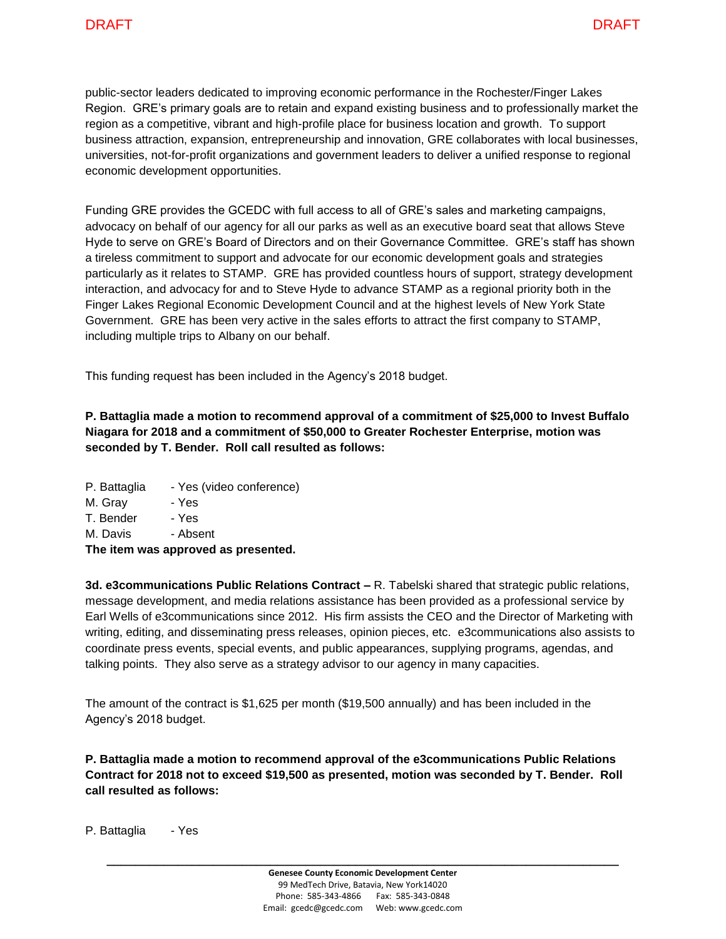public-sector leaders dedicated to improving economic performance in the Rochester/Finger Lakes Region. GRE's primary goals are to retain and expand existing business and to professionally market the region as a competitive, vibrant and high-profile place for business location and growth. To support business attraction, expansion, entrepreneurship and innovation, GRE collaborates with local businesses, universities, not-for-profit organizations and government leaders to deliver a unified response to regional economic development opportunities.

Funding GRE provides the GCEDC with full access to all of GRE's sales and marketing campaigns, advocacy on behalf of our agency for all our parks as well as an executive board seat that allows Steve Hyde to serve on GRE's Board of Directors and on their Governance Committee. GRE's staff has shown a tireless commitment to support and advocate for our economic development goals and strategies particularly as it relates to STAMP. GRE has provided countless hours of support, strategy development interaction, and advocacy for and to Steve Hyde to advance STAMP as a regional priority both in the Finger Lakes Regional Economic Development Council and at the highest levels of New York State Government. GRE has been very active in the sales efforts to attract the first company to STAMP, including multiple trips to Albany on our behalf.

This funding request has been included in the Agency's 2018 budget.

**P. Battaglia made a motion to recommend approval of a commitment of \$25,000 to Invest Buffalo Niagara for 2018 and a commitment of \$50,000 to Greater Rochester Enterprise, motion was seconded by T. Bender. Roll call resulted as follows:**

- P. Battaglia Yes (video conference)
- M. Gray Yes

T. Bender - Yes

M. Davis - Absent

**The item was approved as presented.**

**3d. e3communications Public Relations Contract –** R. Tabelski shared that strategic public relations, message development, and media relations assistance has been provided as a professional service by Earl Wells of e3communications since 2012. His firm assists the CEO and the Director of Marketing with writing, editing, and disseminating press releases, opinion pieces, etc. e3communications also assists to coordinate press events, special events, and public appearances, supplying programs, agendas, and talking points. They also serve as a strategy advisor to our agency in many capacities.

The amount of the contract is \$1,625 per month (\$19,500 annually) and has been included in the Agency's 2018 budget.

**P. Battaglia made a motion to recommend approval of the e3communications Public Relations Contract for 2018 not to exceed \$19,500 as presented, motion was seconded by T. Bender. Roll call resulted as follows:**

P. Battaglia - Yes